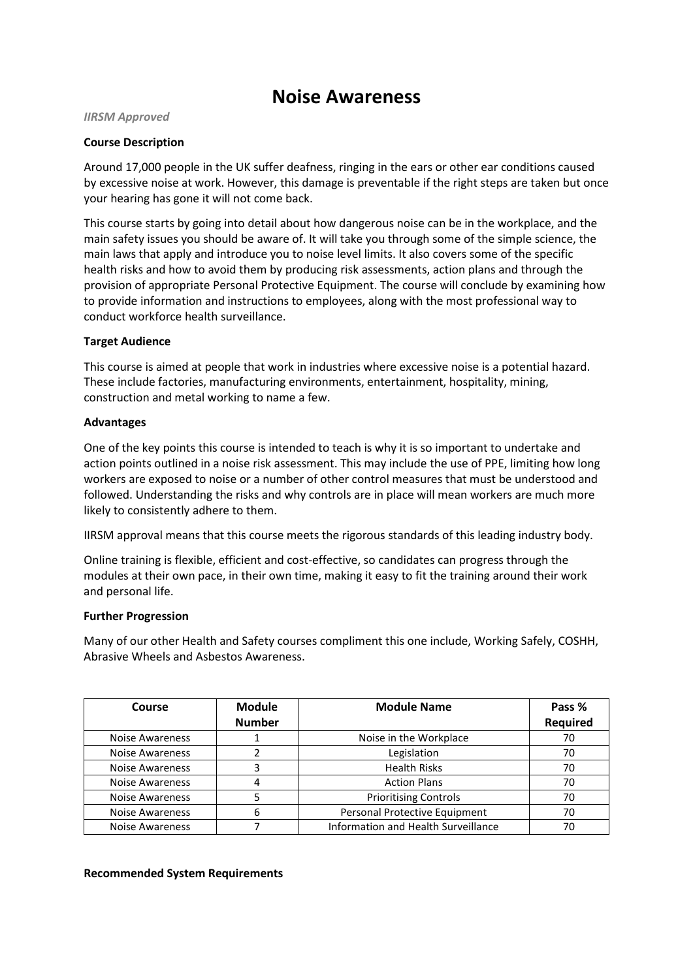# **Noise Awareness**

## *IIRSM Approved*

## **Course Description**

Around 17,000 people in the UK suffer deafness, ringing in the ears or other ear conditions caused by excessive noise at work. However, this damage is preventable if the right steps are taken but once your hearing has gone it will not come back.

This course starts by going into detail about how dangerous noise can be in the workplace, and the main safety issues you should be aware of. It will take you through some of the simple science, the main laws that apply and introduce you to noise level limits. It also covers some of the specific health risks and how to avoid them by producing risk assessments, action plans and through the provision of appropriate Personal Protective Equipment. The course will conclude by examining how to provide information and instructions to employees, along with the most professional way to conduct workforce health surveillance.

## **Target Audience**

This course is aimed at people that work in industries where excessive noise is a potential hazard. These include factories, manufacturing environments, entertainment, hospitality, mining, construction and metal working to name a few.

## **Advantages**

One of the key points this course is intended to teach is why it is so important to undertake and action points outlined in a noise risk assessment. This may include the use of PPE, limiting how long workers are exposed to noise or a number of other control measures that must be understood and followed. Understanding the risks and why controls are in place will mean workers are much more likely to consistently adhere to them.

IIRSM approval means that this course meets the rigorous standards of this leading industry body.

Online training is flexible, efficient and cost-effective, so candidates can progress through the modules at their own pace, in their own time, making it easy to fit the training around their work and personal life.

## **Further Progression**

Many of our other Health and Safety courses compliment this one include, Working Safely, COSHH, Abrasive Wheels and Asbestos Awareness.

| Course                 | <b>Module</b> | <b>Module Name</b>                  | Pass %   |
|------------------------|---------------|-------------------------------------|----------|
|                        | <b>Number</b> |                                     | Required |
| <b>Noise Awareness</b> |               | Noise in the Workplace              | 70       |
| <b>Noise Awareness</b> |               | Legislation                         | 70       |
| <b>Noise Awareness</b> |               | <b>Health Risks</b>                 | 70       |
| <b>Noise Awareness</b> | 4             | <b>Action Plans</b>                 | 70       |
| <b>Noise Awareness</b> |               | <b>Prioritising Controls</b>        | 70       |
| <b>Noise Awareness</b> | 6             | Personal Protective Equipment       | 70       |
| <b>Noise Awareness</b> |               | Information and Health Surveillance |          |

## **Recommended System Requirements**